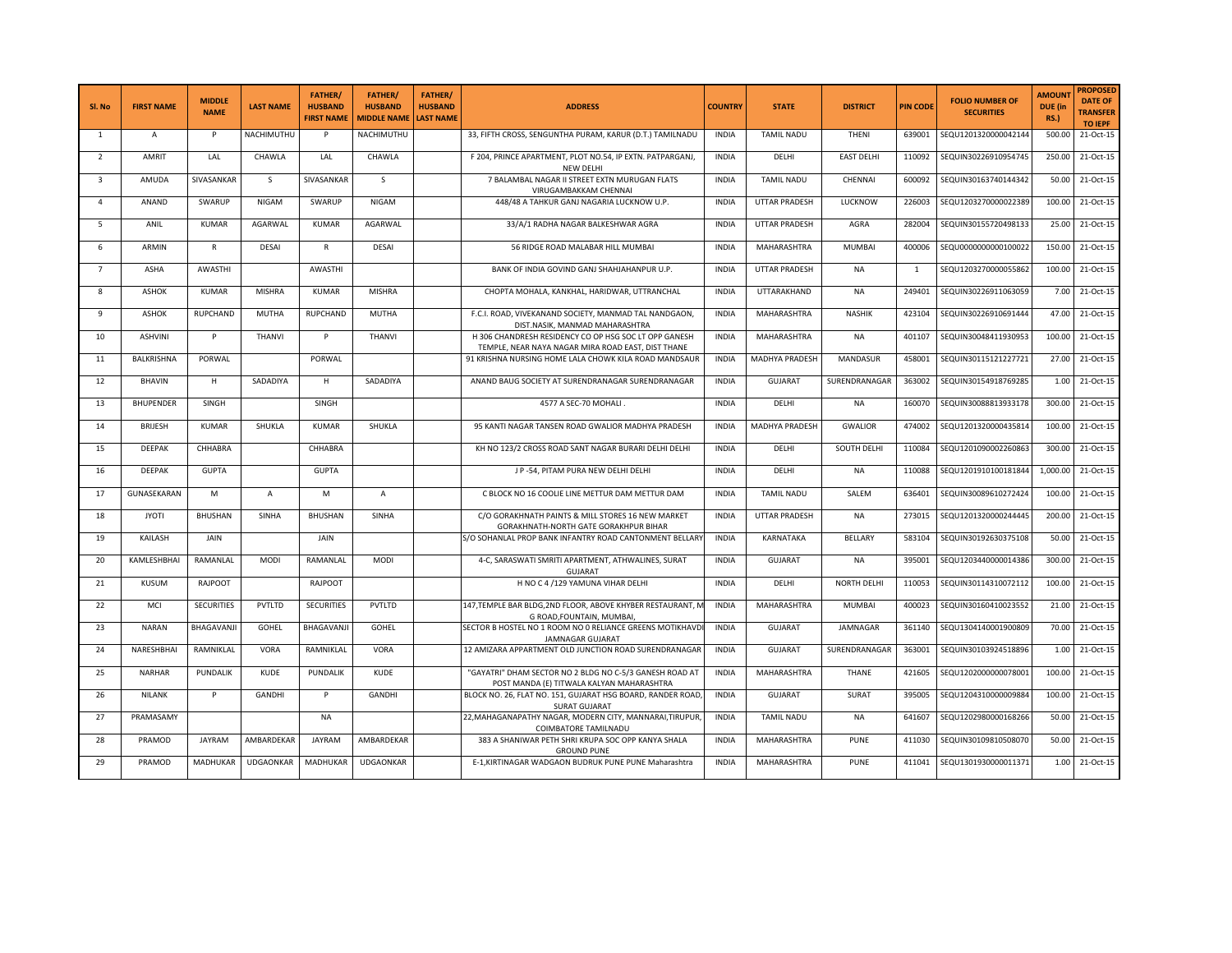| Sl. No         | <b>FIRST NAME</b> | <b>MIDDLE</b><br><b>NAME</b> | <b>LAST NAME</b> | <b>FATHER/</b><br><b>HUSBAND</b><br><b>FIRST NAME</b> | <b>FATHER/</b><br><b>HUSBAND</b><br><b>MIDDLE NAME</b> | <b>FATHER/</b><br><b>HUSBAND</b><br><b>LAST NAME</b> | <b>ADDRESS</b>                                                                                              | <b>COUNTRY</b> | <b>STATE</b>      | <b>DISTRICT</b>   | <b>PIN CODE</b> | <b>FOLIO NUMBER OF</b><br><b>SECURITIES</b> | <b>AMOUN1</b><br>DUE (in<br><b>RS.)</b> | <b>PROPOSED</b><br><b>DATE OF</b><br><b>TRANSFER</b><br><b>TO IEPF</b> |
|----------------|-------------------|------------------------------|------------------|-------------------------------------------------------|--------------------------------------------------------|------------------------------------------------------|-------------------------------------------------------------------------------------------------------------|----------------|-------------------|-------------------|-----------------|---------------------------------------------|-----------------------------------------|------------------------------------------------------------------------|
| $\mathbf{1}$   | А                 | P                            | NACHIMUTHU       | P                                                     | NACHIMUTHU                                             |                                                      | 33, FIFTH CROSS, SENGUNTHA PURAM, KARUR (D.T.) TAMILNADU                                                    | <b>INDIA</b>   | <b>TAMIL NADU</b> | THENI             | 639001          | SEQU1201320000042144                        | 500.00                                  | 21-Oct-15                                                              |
| $\overline{2}$ | AMRIT             | LAL                          | CHAWLA           | LAL                                                   | CHAWLA                                                 |                                                      | F 204, PRINCE APARTMENT, PLOT NO.54, IP EXTN. PATPARGANJ,<br><b>NEW DELHI</b>                               | <b>INDIA</b>   | DELHI             | <b>EAST DELHI</b> | 110092          | SEQUIN30226910954745                        | 250.00                                  | 21-Oct-15                                                              |
| $\overline{3}$ | AMUDA             | SIVASANKAR                   | S                | SIVASANKAR                                            | S.                                                     |                                                      | 7 BALAMBAL NAGAR II STREET EXTN MURUGAN FLATS<br>VIRUGAMBAKKAM CHENNAI                                      | <b>INDIA</b>   | <b>TAMIL NADU</b> | CHENNAI           | 600092          | SEQUIN30163740144342                        | 50.00                                   | 21-Oct-15                                                              |
| $\overline{4}$ | ANAND             | SWARUP                       | NIGAM            | SWARUP                                                | <b>NIGAM</b>                                           |                                                      | 448/48 A TAHKUR GANJ NAGARIA LUCKNOW U.P.                                                                   | <b>INDIA</b>   | UTTAR PRADESH     | LUCKNOW           | 226003          | SEQU1203270000022389                        | 100.00                                  | $\overline{21}$ -Oct-15                                                |
| 5              | ANIL              | <b>KUMAR</b>                 | AGARWAL          | <b>KUMAR</b>                                          | AGARWAL                                                |                                                      | 33/A/1 RADHA NAGAR BALKESHWAR AGRA                                                                          | <b>INDIA</b>   | UTTAR PRADESH     | AGRA              | 282004          | SEQUIN30155720498133                        | 25.00                                   | 21-Oct-15                                                              |
| 6              | ARMIN             | R                            | DESAI            | R                                                     | DESAI                                                  |                                                      | 56 RIDGE ROAD MALABAR HILL MUMBAI                                                                           | <b>INDIA</b>   | MAHARASHTRA       | <b>MUMBAI</b>     | 400006          | SEQU0000000000100022                        | 150.00                                  | 21-Oct-15                                                              |
| $\overline{7}$ | ASHA              | AWASTHI                      |                  | AWASTHI                                               |                                                        |                                                      | BANK OF INDIA GOVIND GANJ SHAHJAHANPUR U.P.                                                                 | <b>INDIA</b>   | UTTAR PRADESH     | <b>NA</b>         | $\mathbf{1}$    | SEQU1203270000055862                        | 100.00                                  | 21-Oct-15                                                              |
| $\mathbf{8}$   | ASHOK             | <b>KUMAR</b>                 | <b>MISHRA</b>    | <b>KUMAR</b>                                          | <b>MISHRA</b>                                          |                                                      | CHOPTA MOHALA, KANKHAL, HARIDWAR, UTTRANCHAL                                                                | <b>INDIA</b>   | UTTARAKHAND       | <b>NA</b>         | 249401          | SEQUIN30226911063059                        | 7.00                                    | 21-Oct-15                                                              |
| -9             | ASHOK             | RUPCHAND                     | MUTHA            | <b>RUPCHAND</b>                                       | MUTHA                                                  |                                                      | F.C.I. ROAD, VIVEKANAND SOCIETY, MANMAD TAL NANDGAON,<br>DIST.NASIK, MANMAD MAHARASHTRA                     | <b>INDIA</b>   | MAHARASHTRA       | <b>NASHIK</b>     | 423104          | SEQUIN30226910691444                        | 47.00                                   | 21-Oct-15                                                              |
| 10             | <b>ASHVINI</b>    | P                            | THANVI           | P                                                     | <b>THANVI</b>                                          |                                                      | H 306 CHANDRESH RESIDENCY CO OP HSG SOC LT OPP GANESH<br>TEMPLE, NEAR NAYA NAGAR MIRA ROAD EAST, DIST THANE | <b>INDIA</b>   | MAHARASHTRA       | NA                | 401107          | SEQUIN30048411930953                        | 100.00                                  | 21-Oct-15                                                              |
| 11             | BALKRISHNA        | PORWAL                       |                  | PORWAL                                                |                                                        |                                                      | 91 KRISHNA NURSING HOME LALA CHOWK KILA ROAD MANDSAUR                                                       | <b>INDIA</b>   | MADHYA PRADESH    | MANDASUR          | 458001          | SEQUIN30115121227721                        | 27.00                                   | 21-Oct-15                                                              |
| 12             | <b>BHAVIN</b>     | H                            | SADADIYA         | H                                                     | SADADIYA                                               |                                                      | ANAND BAUG SOCIETY AT SURENDRANAGAR SURENDRANAGAR                                                           | <b>INDIA</b>   | <b>GUJARAT</b>    | SURENDRANAGAR     | 363002          | SEQUIN30154918769285                        | 1.00                                    | 21-Oct-15                                                              |
| 13             | <b>BHUPENDER</b>  | SINGH                        |                  | SINGH                                                 |                                                        |                                                      | 4577 A SEC-70 MOHALI                                                                                        | <b>INDIA</b>   | DELHI             | NA                | 160070          | SEQUIN30088813933178                        | 300.00                                  | 21-Oct-15                                                              |
| 14             | <b>BRIJESH</b>    | <b>KUMAR</b>                 | SHUKLA           | <b>KUMAR</b>                                          | SHUKLA                                                 |                                                      | 95 KANTI NAGAR TANSEN ROAD GWALIOR MADHYA PRADESH                                                           | <b>INDIA</b>   | MADHYA PRADESH    | <b>GWALIOR</b>    | 474002          | SEQU1201320000435814                        | 100.00                                  | 21-Oct-15                                                              |
| 15             | DEEPAK            | CHHABRA                      |                  | CHHABRA                                               |                                                        |                                                      | KH NO 123/2 CROSS ROAD SANT NAGAR BURARI DELHI DELHI                                                        | <b>INDIA</b>   | DELHI             | SOUTH DELHI       | 110084          | SEQU1201090002260863                        | 300.00                                  | 21-Oct-15                                                              |
| 16             | DEEPAK            | <b>GUPTA</b>                 |                  | <b>GUPTA</b>                                          |                                                        |                                                      | J P -54, PITAM PURA NEW DELHI DELHI                                                                         | <b>INDIA</b>   | DELHI             | <b>NA</b>         | 110088          | SEQU1201910100181844                        | 1,000.00                                | 21-Oct-15                                                              |
| 17             | GUNASEKARAN       | M                            | Α                | M                                                     | $\mathsf{A}$                                           |                                                      | C BLOCK NO 16 COOLIE LINE METTUR DAM METTUR DAM                                                             | <b>INDIA</b>   | <b>TAMIL NADU</b> | SALEM             | 636401          | SEQUIN30089610272424                        | 100.00                                  | 21-Oct-15                                                              |
| 18             | <b>JYOTI</b>      | <b>BHUSHAN</b>               | SINHA            | <b>BHUSHAN</b>                                        | SINHA                                                  |                                                      | C/O GORAKHNATH PAINTS & MILL STORES 16 NEW MARKET<br>GORAKHNATH-NORTH GATE GORAKHPUR BIHAR                  | <b>INDIA</b>   | UTTAR PRADESH     | NA                | 273015          | SEQU1201320000244445                        | 200.00                                  | 21-Oct-15                                                              |
| 19             | KAILASH           | JAIN                         |                  | JAIN                                                  |                                                        |                                                      | S/O SOHANLAL PROP BANK INFANTRY ROAD CANTONMENT BELLARY                                                     | <b>INDIA</b>   | KARNATAKA         | BELLARY           | 583104          | SEQUIN30192630375108                        | 50.00                                   | 21-Oct-15                                                              |
| 20             | KAMLESHBHAI       | RAMANLAL                     | <b>MODI</b>      | RAMANLAL                                              | MODI                                                   |                                                      | 4-C, SARASWATI SMRITI APARTMENT, ATHWALINES, SURAT<br><b>GUJARAT</b>                                        | <b>INDIA</b>   | <b>GUJARAT</b>    | <b>NA</b>         | 395001          | SEQU1203440000014386                        | 300.00                                  | 21-Oct-15                                                              |
| 21             | KUSUM             | RAJPOOT                      |                  | RAJPOOT                                               |                                                        |                                                      | H NO C 4 /129 YAMUNA VIHAR DELHI                                                                            | <b>INDIA</b>   | DELHI             | NORTH DELHI       | 110053          | SEQUIN30114310072112                        | 100.00                                  | 21-Oct-15                                                              |
| 22             | MCI               | <b>SECURITIES</b>            | PVTLTD           | <b>SECURITIES</b>                                     | PVTLTD                                                 |                                                      | 147, TEMPLE BAR BLDG, 2ND FLOOR, ABOVE KHYBER RESTAURANT, M<br>G ROAD, FOUNTAIN, MUMBAI,                    | <b>INDIA</b>   | MAHARASHTRA       | <b>MUMBAI</b>     | 400023          | SEQUIN30160410023552                        | 21.00                                   | 21-Oct-15                                                              |
| 23             | <b>NARAN</b>      | BHAGAVANJI                   | GOHEL            | BHAGAVANJI                                            | <b>GOHEL</b>                                           |                                                      | SECTOR B HOSTEL NO 1 ROOM NO 0 RELIANCE GREENS MOTIKHAVD<br>JAMNAGAR GUJARAT                                | <b>INDIA</b>   | <b>GUJARAT</b>    | JAMNAGAR          | 361140          | SEQU1304140001900809                        | 70.00                                   | 21-Oct-15                                                              |
| 24             | NARESHBHAI        | RAMNIKLAL                    | VORA             | RAMNIKLAL                                             | <b>VORA</b>                                            |                                                      | 12 AMIZARA APPARTMENT OLD JUNCTION ROAD SURENDRANAGAR                                                       | <b>INDIA</b>   | <b>GUJARAT</b>    | SURENDRANAGAR     | 363001          | SEQUIN30103924518896                        | 1.00                                    | 21-Oct-15                                                              |
| 25             | <b>NARHAR</b>     | PUNDALIK                     | <b>KUDE</b>      | PUNDALIK                                              | KUDE                                                   |                                                      | "GAYATRI" DHAM SECTOR NO 2 BLDG NO C-5/3 GANESH ROAD AT<br>POST MANDA (E) TITWALA KALYAN MAHARASHTRA        | <b>INDIA</b>   | MAHARASHTRA       | THANE             | 421605          | SEQU1202000000078001                        | 100.00                                  | 21-Oct-15                                                              |
| 26             | <b>NILANK</b>     | P                            | <b>GANDHI</b>    |                                                       | <b>GANDHI</b>                                          |                                                      | BLOCK NO. 26, FLAT NO. 151, GUJARAT HSG BOARD, RANDER ROAD<br><b>SURAT GUJARAT</b>                          | INDIA          | <b>GUJARAT</b>    | <b>SURAT</b>      | 395005          | SEQU1204310000009884                        | 100.00                                  | 21-Oct-15                                                              |
| 27             | PRAMASAMY         |                              |                  | NA                                                    |                                                        |                                                      | 22, MAHAGANAPATHY NAGAR, MODERN CITY, MANNARAI, TIRUPUR<br>COIMBATORE TAMILNADU                             | <b>INDIA</b>   | <b>TAMIL NADU</b> | NA                | 641607          | SEQU1202980000168266                        | 50.00                                   | 21-Oct-15                                                              |
| 28             | PRAMOD            | <b>JAYRAM</b>                | AMBARDEKAR       | <b>JAYRAM</b>                                         | AMBARDEKAR                                             |                                                      | 383 A SHANIWAR PETH SHRI KRUPA SOC OPP KANYA SHALA<br><b>GROUND PUNE</b>                                    | <b>INDIA</b>   | MAHARASHTRA       | PUNE              | 411030          | SEQUIN30109810508070                        | 50.00                                   | 21-Oct-15                                                              |
| 29             | PRAMOD            | MADHUKAR                     | UDGAONKAR        | MADHUKAR                                              | UDGAONKAR                                              |                                                      | E-1,KIRTINAGAR WADGAON BUDRUK PUNE PUNE Maharashtra                                                         | <b>INDIA</b>   | MAHARASHTRA       | <b>PUNE</b>       | 411041          | SEQU1301930000011371                        | 1.00                                    | 21-Oct-15                                                              |